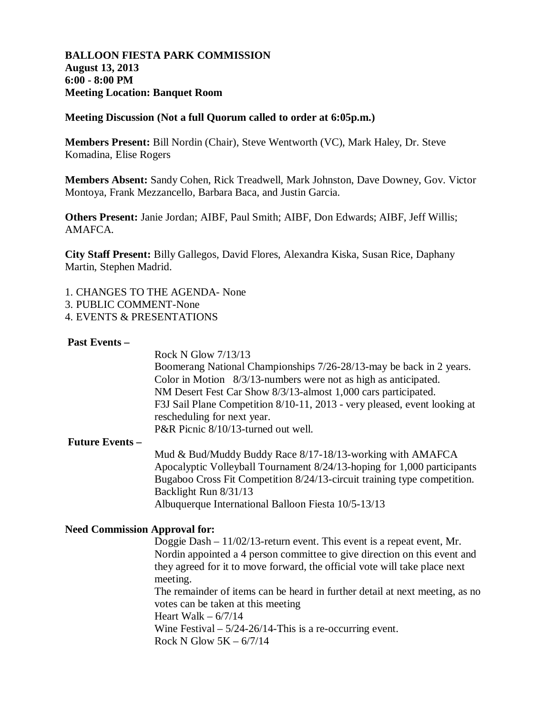## **BALLOON FIESTA PARK COMMISSION August 13, 2013 6:00 - 8:00 PM Meeting Location: Banquet Room**

#### **Meeting Discussion (Not a full Quorum called to order at 6:05p.m.)**

**Members Present:** Bill Nordin (Chair), Steve Wentworth (VC), Mark Haley, Dr. Steve Komadina, Elise Rogers

**Members Absent:** Sandy Cohen, Rick Treadwell, Mark Johnston, Dave Downey, Gov. Victor Montoya, Frank Mezzancello, Barbara Baca, and Justin Garcia.

**Others Present:** Janie Jordan; AIBF, Paul Smith; AIBF, Don Edwards; AIBF, Jeff Willis; AMAFCA.

**City Staff Present:** Billy Gallegos, David Flores, Alexandra Kiska, Susan Rice, Daphany Martin, Stephen Madrid.

- 1. CHANGES TO THE AGENDA- None
- 3. PUBLIC COMMENT-None
- 4. EVENTS & PRESENTATIONS

#### **Past Events –**

 Rock N Glow 7/13/13 Boomerang National Championships 7/26-28/13-may be back in 2 years. Color in Motion 8/3/13-numbers were not as high as anticipated. NM Desert Fest Car Show 8/3/13-almost 1,000 cars participated. F3J Sail Plane Competition 8/10-11, 2013 - very pleased, event looking at rescheduling for next year. P&R Picnic 8/10/13-turned out well.

#### **Future Events –**

 Mud & Bud/Muddy Buddy Race 8/17-18/13-working with AMAFCA Apocalyptic Volleyball Tournament 8/24/13-hoping for 1,000 participants Bugaboo Cross Fit Competition 8/24/13-circuit training type competition. Backlight Run 8/31/13 Albuquerque International Balloon Fiesta 10/5-13/13

#### **Need Commission Approval for:**

Doggie Dash – 11/02/13-return event. This event is a repeat event, Mr. Nordin appointed a 4 person committee to give direction on this event and they agreed for it to move forward, the official vote will take place next meeting. The remainder of items can be heard in further detail at next meeting, as no votes can be taken at this meeting Heart Walk  $-6/7/14$ Wine Festival –  $5/24-26/14$ -This is a re-occurring event.

Rock N Glow  $5K - \frac{6}{7}{14}$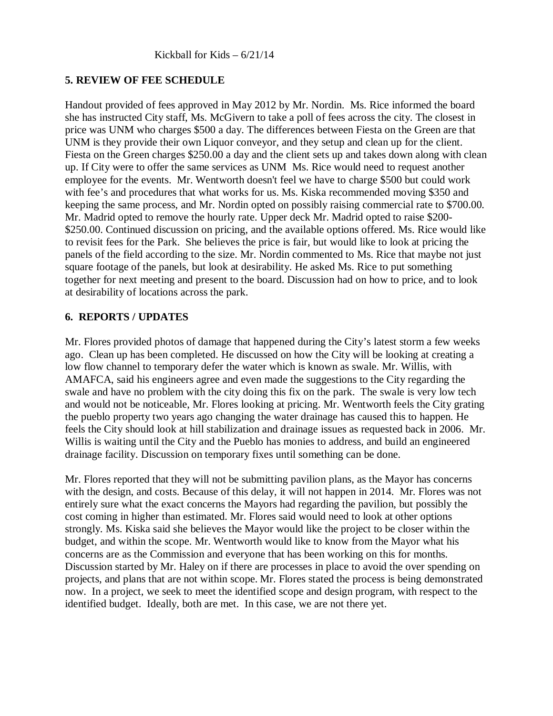# **5. REVIEW OF FEE SCHEDULE**

Handout provided of fees approved in May 2012 by Mr. Nordin. Ms. Rice informed the board she has instructed City staff, Ms. McGivern to take a poll of fees across the city. The closest in price was UNM who charges \$500 a day. The differences between Fiesta on the Green are that UNM is they provide their own Liquor conveyor, and they setup and clean up for the client. Fiesta on the Green charges \$250.00 a day and the client sets up and takes down along with clean up. If City were to offer the same services as UNM Ms. Rice would need to request another employee for the events. Mr. Wentworth doesn't feel we have to charge \$500 but could work with fee's and procedures that what works for us. Ms. Kiska recommended moving \$350 and keeping the same process, and Mr. Nordin opted on possibly raising commercial rate to \$700.00. Mr. Madrid opted to remove the hourly rate. Upper deck Mr. Madrid opted to raise \$200- \$250.00. Continued discussion on pricing, and the available options offered. Ms. Rice would like to revisit fees for the Park. She believes the price is fair, but would like to look at pricing the panels of the field according to the size. Mr. Nordin commented to Ms. Rice that maybe not just square footage of the panels, but look at desirability. He asked Ms. Rice to put something together for next meeting and present to the board. Discussion had on how to price, and to look at desirability of locations across the park.

## **6. REPORTS / UPDATES**

Mr. Flores provided photos of damage that happened during the City's latest storm a few weeks ago. Clean up has been completed. He discussed on how the City will be looking at creating a low flow channel to temporary defer the water which is known as swale. Mr. Willis, with AMAFCA, said his engineers agree and even made the suggestions to the City regarding the swale and have no problem with the city doing this fix on the park. The swale is very low tech and would not be noticeable, Mr. Flores looking at pricing. Mr. Wentworth feels the City grating the pueblo property two years ago changing the water drainage has caused this to happen. He feels the City should look at hill stabilization and drainage issues as requested back in 2006. Mr. Willis is waiting until the City and the Pueblo has monies to address, and build an engineered drainage facility. Discussion on temporary fixes until something can be done.

Mr. Flores reported that they will not be submitting pavilion plans, as the Mayor has concerns with the design, and costs. Because of this delay, it will not happen in 2014. Mr. Flores was not entirely sure what the exact concerns the Mayors had regarding the pavilion, but possibly the cost coming in higher than estimated. Mr. Flores said would need to look at other options strongly. Ms. Kiska said she believes the Mayor would like the project to be closer within the budget, and within the scope. Mr. Wentworth would like to know from the Mayor what his concerns are as the Commission and everyone that has been working on this for months. Discussion started by Mr. Haley on if there are processes in place to avoid the over spending on projects, and plans that are not within scope. Mr. Flores stated the process is being demonstrated now. In a project, we seek to meet the identified scope and design program, with respect to the identified budget. Ideally, both are met. In this case, we are not there yet.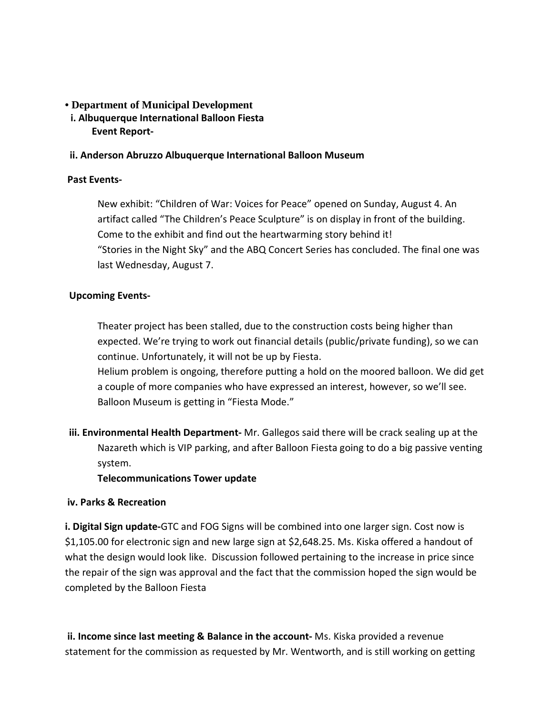# **• Department of Municipal Development**

 **i. Albuquerque International Balloon Fiesta Event Report-**

## **ii. Anderson Abruzzo Albuquerque International Balloon Museum**

## **Past Events-**

New exhibit: "Children of War: Voices for Peace" opened on Sunday, August 4. An artifact called "The Children's Peace Sculpture" is on display in front of the building. Come to the exhibit and find out the heartwarming story behind it! "Stories in the Night Sky" and the ABQ Concert Series has concluded. The final one was last Wednesday, August 7.

# **Upcoming Events-**

Theater project has been stalled, due to the construction costs being higher than expected. We're trying to work out financial details (public/private funding), so we can continue. Unfortunately, it will not be up by Fiesta. Helium problem is ongoing, therefore putting a hold on the moored balloon. We did get a couple of more companies who have expressed an interest, however, so we'll see. Balloon Museum is getting in "Fiesta Mode."

**iii. Environmental Health Department-** Mr. Gallegos said there will be crack sealing up at the Nazareth which is VIP parking, and after Balloon Fiesta going to do a big passive venting system.

#### **Telecommunications Tower update**

#### **iv. Parks & Recreation**

**i. Digital Sign update-**GTC and FOG Signs will be combined into one larger sign. Cost now is \$1,105.00 for electronic sign and new large sign at \$2,648.25. Ms. Kiska offered a handout of what the design would look like. Discussion followed pertaining to the increase in price since the repair of the sign was approval and the fact that the commission hoped the sign would be completed by the Balloon Fiesta

**ii. Income since last meeting & Balance in the account-** Ms. Kiska provided a revenue statement for the commission as requested by Mr. Wentworth, and is still working on getting